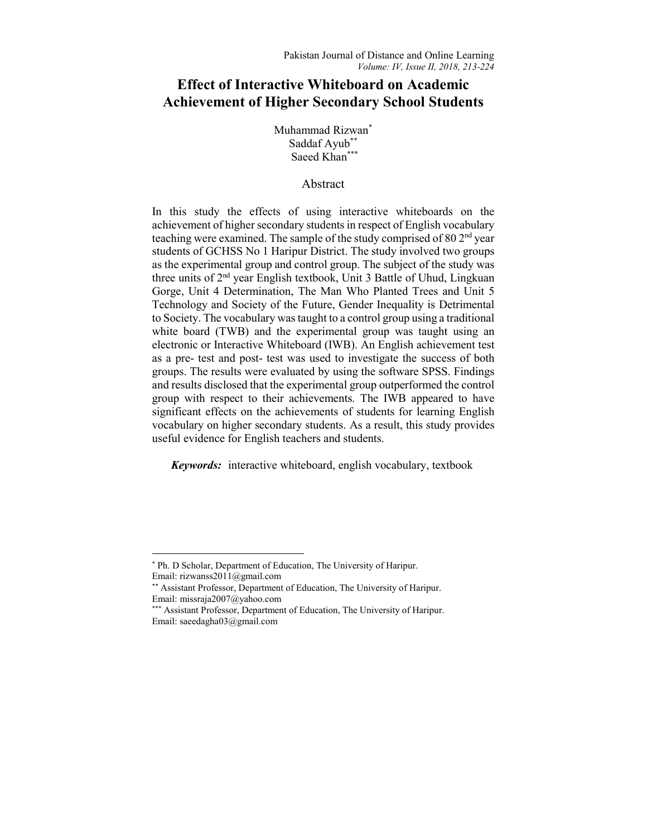# **Effect of Interactive Whiteboard on Academic Achievement of Higher Secondary School Students**

Muhammad Rizwan\* Saddaf Ayub\*\* Saeed Khan\*\*\*

## Abstract

In this study the effects of using interactive whiteboards on the achievement of higher secondary students in respect of English vocabulary teaching were examined. The sample of the study comprised of 80 2nd year students of GCHSS No 1 Haripur District. The study involved two groups as the experimental group and control group. The subject of the study was three units of 2nd year English textbook, Unit 3 Battle of Uhud, Lingkuan Gorge, Unit 4 Determination, The Man Who Planted Trees and Unit 5 Technology and Society of the Future, Gender Inequality is Detrimental to Society. The vocabulary was taught to a control group using a traditional white board (TWB) and the experimental group was taught using an electronic or Interactive Whiteboard (IWB). An English achievement test as a pre- test and post- test was used to investigate the success of both groups. The results were evaluated by using the software SPSS. Findings and results disclosed that the experimental group outperformed the control group with respect to their achievements. The IWB appeared to have significant effects on the achievements of students for learning English vocabulary on higher secondary students. As a result, this study provides useful evidence for English teachers and students.

*Keywords:* interactive whiteboard, english vocabulary, textbook

 <sup>\*</sup> Ph. D Scholar, Department of Education, The University of Haripur. Email: rizwanss2011@gmail.com

<sup>\*\*</sup> Assistant Professor, Department of Education, The University of Haripur. Email: missraja2007@yahoo.com

<sup>\*\*\*</sup> Assistant Professor, Department of Education, The University of Haripur. Email: saeedagha03@gmail.com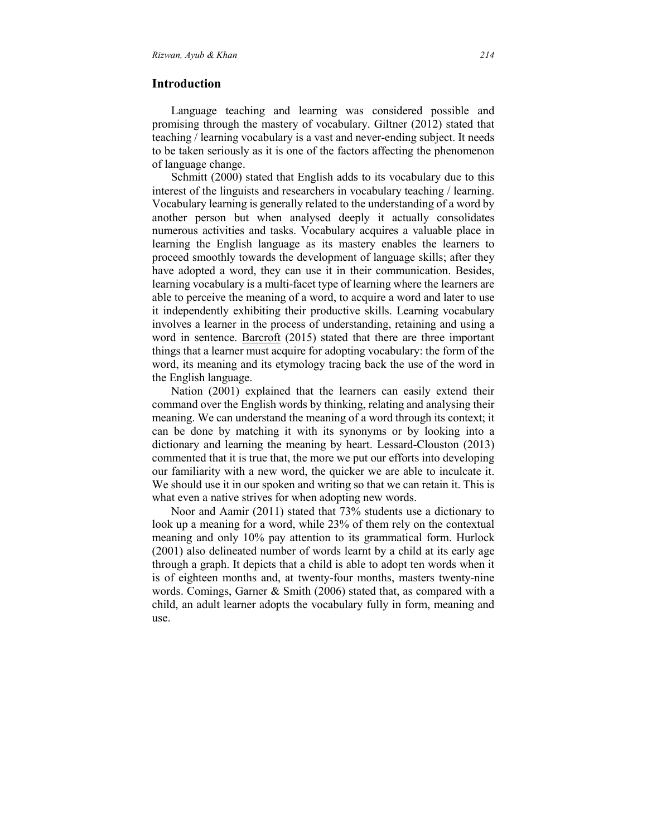#### **Introduction**

Language teaching and learning was considered possible and promising through the mastery of vocabulary. Giltner (2012) stated that teaching / learning vocabulary is a vast and never-ending subject. It needs to be taken seriously as it is one of the factors affecting the phenomenon of language change.

Schmitt (2000) stated that English adds to its vocabulary due to this interest of the linguists and researchers in vocabulary teaching / learning. Vocabulary learning is generally related to the understanding of a word by another person but when analysed deeply it actually consolidates numerous activities and tasks. Vocabulary acquires a valuable place in learning the English language as its mastery enables the learners to proceed smoothly towards the development of language skills; after they have adopted a word, they can use it in their communication. Besides, learning vocabulary is a multi-facet type of learning where the learners are able to perceive the meaning of a word, to acquire a word and later to use it independently exhibiting their productive skills. Learning vocabulary involves a learner in the process of understanding, retaining and using a word in sentence. Barcroft (2015) stated that there are three important things that a learner must acquire for adopting vocabulary: the form of the word, its meaning and its etymology tracing back the use of the word in the English language.

Nation (2001) explained that the learners can easily extend their command over the English words by thinking, relating and analysing their meaning. We can understand the meaning of a word through its context; it can be done by matching it with its synonyms or by looking into a dictionary and learning the meaning by heart. Lessard-Clouston (2013) commented that it is true that, the more we put our efforts into developing our familiarity with a new word, the quicker we are able to inculcate it. We should use it in our spoken and writing so that we can retain it. This is what even a native strives for when adopting new words.

Noor and Aamir (2011) stated that 73% students use a dictionary to look up a meaning for a word, while 23% of them rely on the contextual meaning and only 10% pay attention to its grammatical form. Hurlock (2001) also delineated number of words learnt by a child at its early age through a graph. It depicts that a child is able to adopt ten words when it is of eighteen months and, at twenty-four months, masters twenty-nine words. Comings, Garner & Smith (2006) stated that, as compared with a child, an adult learner adopts the vocabulary fully in form, meaning and use.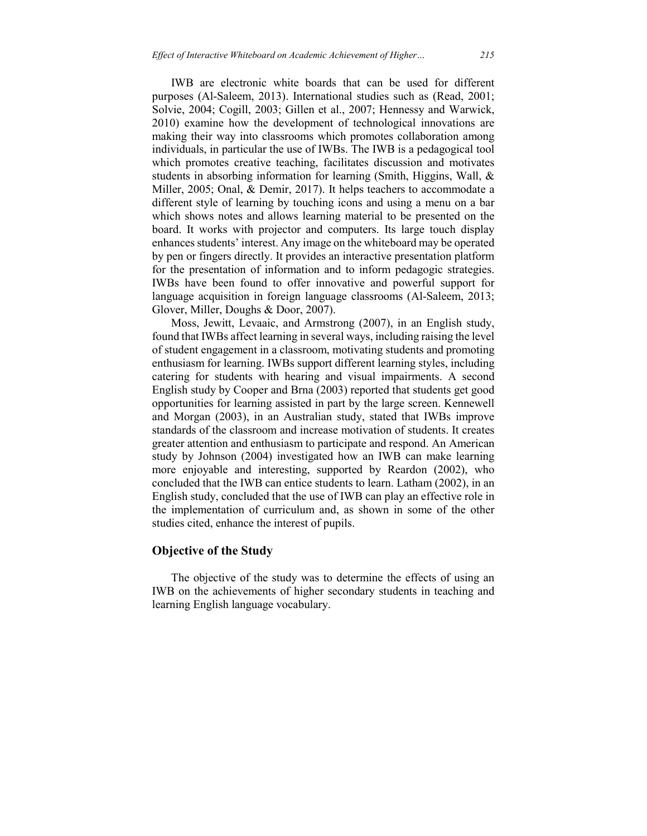IWB are electronic white boards that can be used for different purposes (Al-Saleem, 2013). International studies such as (Read, 2001; Solvie, 2004; Cogill, 2003; Gillen et al., 2007; Hennessy and Warwick, 2010) examine how the development of technological innovations are making their way into classrooms which promotes collaboration among individuals, in particular the use of IWBs. The IWB is a pedagogical tool which promotes creative teaching, facilitates discussion and motivates students in absorbing information for learning (Smith, Higgins, Wall, & Miller, 2005; Onal, & Demir, 2017). It helps teachers to accommodate a different style of learning by touching icons and using a menu on a bar which shows notes and allows learning material to be presented on the board. It works with projector and computers. Its large touch display enhances students' interest. Any image on the whiteboard may be operated by pen or fingers directly. It provides an interactive presentation platform for the presentation of information and to inform pedagogic strategies. IWBs have been found to offer innovative and powerful support for language acquisition in foreign language classrooms (Al-Saleem, 2013; Glover, Miller, Doughs & Door, 2007).

Moss, Jewitt, Levaaic, and Armstrong (2007), in an English study, found that IWBs affect learning in several ways, including raising the level of student engagement in a classroom, motivating students and promoting enthusiasm for learning. IWBs support different learning styles, including catering for students with hearing and visual impairments. A second English study by Cooper and Brna (2003) reported that students get good opportunities for learning assisted in part by the large screen. Kennewell and Morgan (2003), in an Australian study, stated that IWBs improve standards of the classroom and increase motivation of students. It creates greater attention and enthusiasm to participate and respond. An American study by Johnson (2004) investigated how an IWB can make learning more enjoyable and interesting, supported by Reardon (2002), who concluded that the IWB can entice students to learn. Latham (2002), in an English study, concluded that the use of IWB can play an effective role in the implementation of curriculum and, as shown in some of the other studies cited, enhance the interest of pupils.

## **Objective of the Study**

The objective of the study was to determine the effects of using an IWB on the achievements of higher secondary students in teaching and learning English language vocabulary.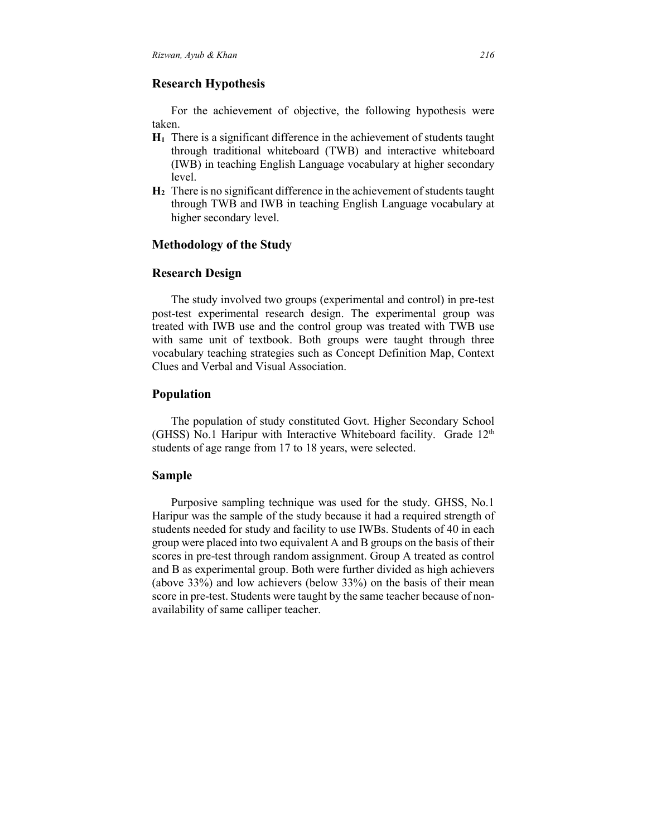## **Research Hypothesis**

For the achievement of objective, the following hypothesis were taken.

- **H1** There is a significant difference in the achievement of students taught through traditional whiteboard (TWB) and interactive whiteboard (IWB) in teaching English Language vocabulary at higher secondary level.
- **H2** There is no significant difference in the achievement of students taught through TWB and IWB in teaching English Language vocabulary at higher secondary level.

## **Methodology of the Study**

#### **Research Design**

The study involved two groups (experimental and control) in pre-test post-test experimental research design. The experimental group was treated with IWB use and the control group was treated with TWB use with same unit of textbook. Both groups were taught through three vocabulary teaching strategies such as Concept Definition Map, Context Clues and Verbal and Visual Association.

# **Population**

The population of study constituted Govt. Higher Secondary School (GHSS) No.1 Haripur with Interactive Whiteboard facility. Grade  $12<sup>th</sup>$ students of age range from 17 to 18 years, were selected.

## **Sample**

Purposive sampling technique was used for the study. GHSS, No.1 Haripur was the sample of the study because it had a required strength of students needed for study and facility to use IWBs. Students of 40 in each group were placed into two equivalent A and B groups on the basis of their scores in pre-test through random assignment. Group A treated as control and B as experimental group. Both were further divided as high achievers (above 33%) and low achievers (below 33%) on the basis of their mean score in pre-test. Students were taught by the same teacher because of nonavailability of same calliper teacher.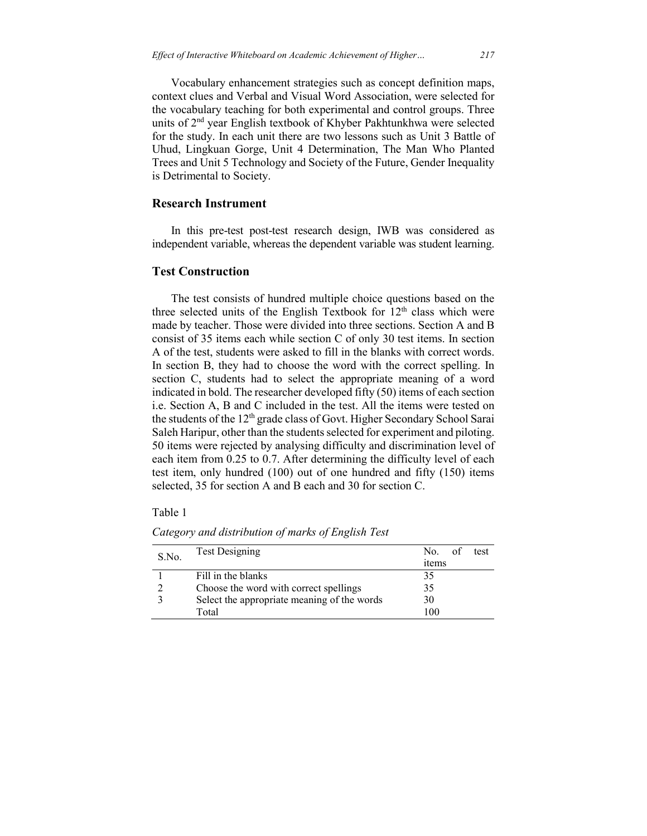Vocabulary enhancement strategies such as concept definition maps, context clues and Verbal and Visual Word Association, were selected for the vocabulary teaching for both experimental and control groups. Three units of 2nd year English textbook of Khyber Pakhtunkhwa were selected for the study. In each unit there are two lessons such as Unit 3 Battle of Uhud, Lingkuan Gorge, Unit 4 Determination, The Man Who Planted Trees and Unit 5 Technology and Society of the Future, Gender Inequality is Detrimental to Society.

## **Research Instrument**

In this pre-test post-test research design, IWB was considered as independent variable, whereas the dependent variable was student learning.

#### **Test Construction**

The test consists of hundred multiple choice questions based on the three selected units of the English Textbook for  $12<sup>th</sup>$  class which were made by teacher. Those were divided into three sections. Section A and B consist of 35 items each while section C of only 30 test items. In section A of the test, students were asked to fill in the blanks with correct words. In section B, they had to choose the word with the correct spelling. In section C, students had to select the appropriate meaning of a word indicated in bold. The researcher developed fifty (50) items of each section i.e. Section A, B and C included in the test. All the items were tested on the students of the 12<sup>th</sup> grade class of Govt. Higher Secondary School Sarai Saleh Haripur, other than the students selected for experiment and piloting. 50 items were rejected by analysing difficulty and discrimination level of each item from 0.25 to 0.7. After determining the difficulty level of each test item, only hundred (100) out of one hundred and fifty (150) items selected, 35 for section A and B each and 30 for section C.

Table 1

| S.No. | <b>Test Designing</b>                       | No.<br>test<br>items |
|-------|---------------------------------------------|----------------------|
|       | Fill in the blanks                          | 35                   |
|       | Choose the word with correct spellings      | 35                   |
|       | Select the appropriate meaning of the words | 30                   |
|       | Total                                       | 100                  |

*Category and distribution of marks of English Test*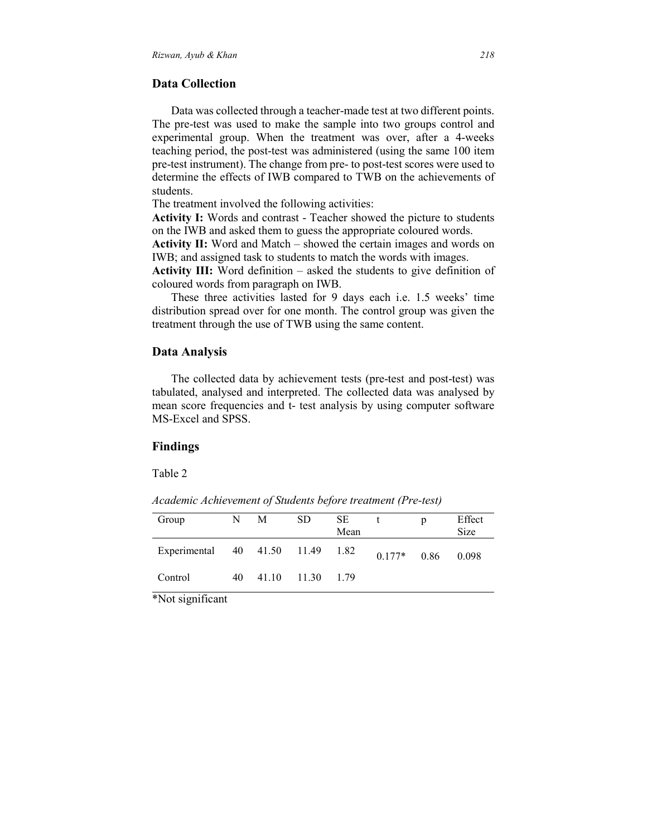#### **Data Collection**

Data was collected through a teacher-made test at two different points. The pre-test was used to make the sample into two groups control and experimental group. When the treatment was over, after a 4-weeks teaching period, the post-test was administered (using the same 100 item pre-test instrument). The change from pre- to post-test scores were used to determine the effects of IWB compared to TWB on the achievements of students.

The treatment involved the following activities:

**Activity I:** Words and contrast - Teacher showed the picture to students on the IWB and asked them to guess the appropriate coloured words.

**Activity II:** Word and Match – showed the certain images and words on IWB; and assigned task to students to match the words with images.

**Activity III:** Word definition – asked the students to give definition of coloured words from paragraph on IWB.

These three activities lasted for 9 days each i.e. 1.5 weeks' time distribution spread over for one month. The control group was given the treatment through the use of TWB using the same content.

#### **Data Analysis**

The collected data by achievement tests (pre-test and post-test) was tabulated, analysed and interpreted. The collected data was analysed by mean score frequencies and t- test analysis by using computer software MS-Excel and SPSS.

## **Findings**

Table 2

*Academic Achievement of Students before treatment (Pre-test)*

| Group                            | N  | M | SD.              | <b>SE</b><br>Mean |          | D    | Effect<br><b>Size</b> |
|----------------------------------|----|---|------------------|-------------------|----------|------|-----------------------|
| Experimental 40 41.50 11.49 1.82 |    |   |                  |                   | $0.177*$ | 0.86 | 0.098                 |
| Control                          | 40 |   | 41.10 11.30 1.79 |                   |          |      |                       |

\*Not significant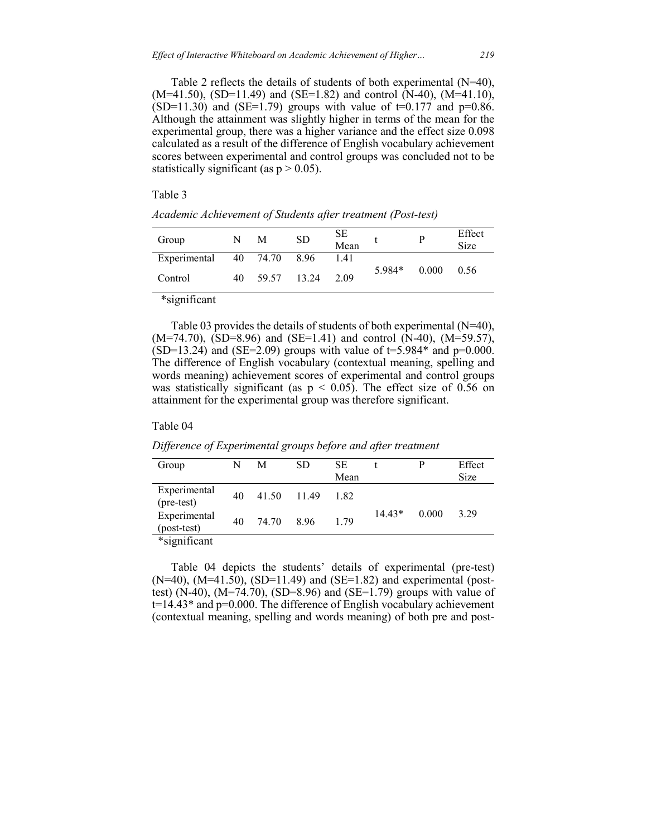Table 2 reflects the details of students of both experimental (N=40),  $(M=41.50)$ ,  $(SD=11.49)$  and  $(SE=1.82)$  and control  $(N=40)$ ,  $(M=41.10)$ , (SD=11.30) and (SE=1.79) groups with value of  $t=0.177$  and  $p=0.86$ . Although the attainment was slightly higher in terms of the mean for the experimental group, there was a higher variance and the effect size 0.098 calculated as a result of the difference of English vocabulary achievement scores between experimental and control groups was concluded not to be statistically significant (as  $p > 0.05$ ).

#### Table 3

| Group        | N  | M             | <b>SD</b> | <b>SE</b><br>Mean |        | р     | Effect<br>Size |
|--------------|----|---------------|-----------|-------------------|--------|-------|----------------|
| Experimental |    | 40 74.70 8.96 |           | 1.41              |        |       |                |
| Control      | 40 | 59.57 13.24   |           | 2.09              | 5.984* | 0.000 | 0.56           |

*Academic Achievement of Students after treatment (Post-test)*

\*significant

Table 03 provides the details of students of both experimental (N=40),  $(M=74.70)$ ,  $(SD=8.96)$  and  $(SE=1.41)$  and control  $(N=40)$ ,  $(M=59.57)$ ,  $(SD=13.24)$  and  $(SE=2.09)$  groups with value of  $t=5.984*$  and  $p=0.000$ . The difference of English vocabulary (contextual meaning, spelling and words meaning) achievement scores of experimental and control groups was statistically significant (as  $p < 0.05$ ). The effect size of 0.56 on attainment for the experimental group was therefore significant.

#### Table 04

| Difference of Experimental groups before and after treatment |  |  |  |
|--------------------------------------------------------------|--|--|--|
|                                                              |  |  |  |

| Group                       | N  | M     | SD   | SЕ   |          | p     | Effect      |
|-----------------------------|----|-------|------|------|----------|-------|-------------|
|                             |    |       |      | Mean |          |       | <b>Size</b> |
| Experimental<br>(pre-test)  | 40 | 41.50 | 1149 | 182  |          |       |             |
| Experimental<br>(post-test) | 40 | 74.70 | 896  | 179  | $14.43*$ | 0.000 | 3.29        |
| *significant                |    |       |      |      |          |       |             |

Table 04 depicts the students' details of experimental (pre-test)  $(N=40)$ ,  $(M=41.50)$ ,  $(SD=11.49)$  and  $(SE=1.82)$  and experimental (posttest) (N-40), (M=74.70), (SD=8.96) and (SE=1.79) groups with value of  $t=14.43*$  and  $p=0.000$ . The difference of English vocabulary achievement (contextual meaning, spelling and words meaning) of both pre and post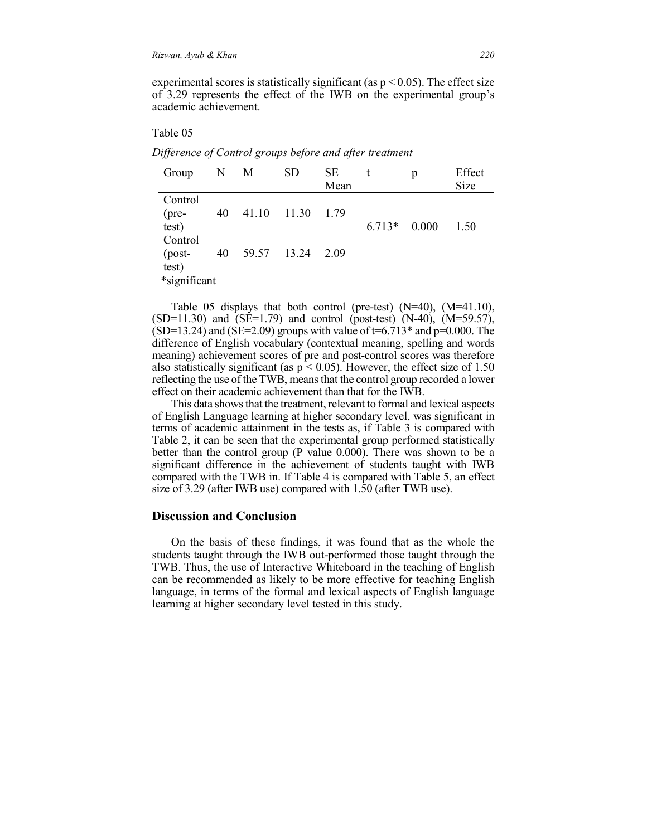experimental scores is statistically significant (as  $p < 0.05$ ). The effect size of 3.29 represents the effect of the IWB on the experimental group's academic achievement.

Table 05

| Group                        | N  | M     | SD    | SЕ<br>Mean |         | p     | Effect<br>Size |
|------------------------------|----|-------|-------|------------|---------|-------|----------------|
| Control<br>$(pre-$<br>test)  | 40 | 41.10 | 11.30 | 1.79       | $6713*$ | 0.000 | 1.50           |
| Control<br>$-post-$<br>test) | 40 | 59.57 | 13.24 | 2.09       |         |       |                |

*Difference of Control groups before and after treatment*

\*significant

Table 05 displays that both control (pre-test) (N=40), (M=41.10),  $(SD=11.30)$  and  $(SE=1.79)$  and control (post-test)  $(N=40)$ ,  $(M=59.57)$ ,  $(SD=13.24)$  and  $(SE=2.09)$  groups with value of t=6.713<sup>\*</sup> and p=0.000. The difference of English vocabulary (contextual meaning, spelling and words meaning) achievement scores of pre and post-control scores was therefore also statistically significant (as  $p \le 0.05$ ). However, the effect size of 1.50 reflecting the use of the TWB, means that the control group recorded a lower effect on their academic achievement than that for the IWB.

This data shows that the treatment, relevant to formal and lexical aspects of English Language learning at higher secondary level, was significant in terms of academic attainment in the tests as, if Table 3 is compared with Table 2, it can be seen that the experimental group performed statistically better than the control group (P value 0.000). There was shown to be a significant difference in the achievement of students taught with IWB compared with the TWB in. If Table 4 is compared with Table 5, an effect size of 3.29 (after IWB use) compared with 1.50 (after TWB use).

## **Discussion and Conclusion**

On the basis of these findings, it was found that as the whole the students taught through the IWB out-performed those taught through the TWB. Thus, the use of Interactive Whiteboard in the teaching of English can be recommended as likely to be more effective for teaching English language, in terms of the formal and lexical aspects of English language learning at higher secondary level tested in this study.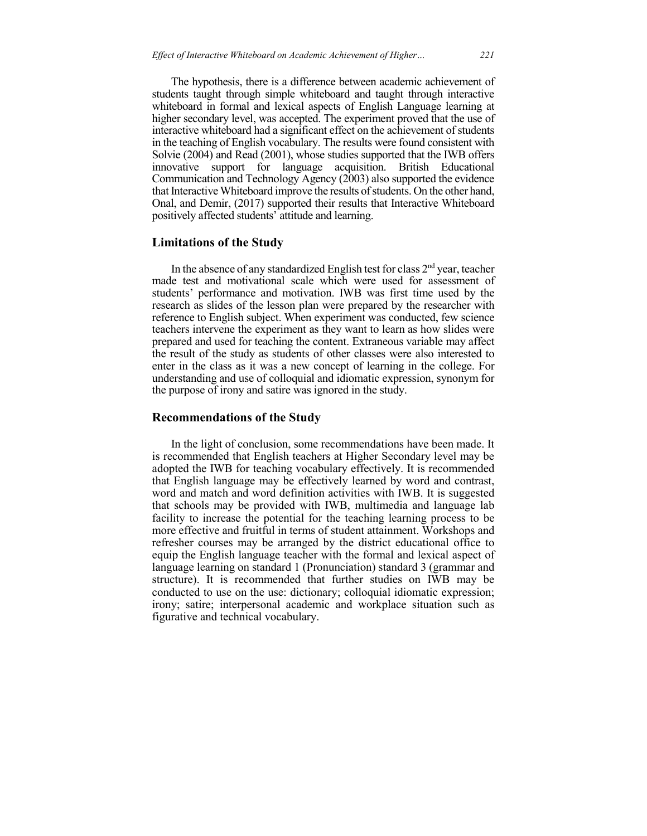The hypothesis, there is a difference between academic achievement of students taught through simple whiteboard and taught through interactive whiteboard in formal and lexical aspects of English Language learning at higher secondary level, was accepted. The experiment proved that the use of interactive whiteboard had a significant effect on the achievement of students in the teaching of English vocabulary. The results were found consistent with Solvie (2004) and Read (2001), whose studies supported that the IWB offers innovative support for language acquisition. British Educational Communication and Technology Agency (2003) also supported the evidence that Interactive Whiteboard improve the results of students. On the other hand, Onal, and Demir, (2017) supported their results that Interactive Whiteboard positively affected students' attitude and learning.

#### **Limitations of the Study**

In the absence of any standardized English test for class  $2<sup>nd</sup>$  year, teacher made test and motivational scale which were used for assessment of students' performance and motivation. IWB was first time used by the research as slides of the lesson plan were prepared by the researcher with reference to English subject. When experiment was conducted, few science teachers intervene the experiment as they want to learn as how slides were prepared and used for teaching the content. Extraneous variable may affect the result of the study as students of other classes were also interested to enter in the class as it was a new concept of learning in the college. For understanding and use of colloquial and idiomatic expression, synonym for the purpose of irony and satire was ignored in the study.

#### **Recommendations of the Study**

In the light of conclusion, some recommendations have been made. It is recommended that English teachers at Higher Secondary level may be adopted the IWB for teaching vocabulary effectively. It is recommended that English language may be effectively learned by word and contrast, word and match and word definition activities with IWB. It is suggested that schools may be provided with IWB, multimedia and language lab facility to increase the potential for the teaching learning process to be more effective and fruitful in terms of student attainment. Workshops and refresher courses may be arranged by the district educational office to equip the English language teacher with the formal and lexical aspect of language learning on standard 1 (Pronunciation) standard 3 (grammar and structure). It is recommended that further studies on IWB may be conducted to use on the use: dictionary; colloquial idiomatic expression; irony; satire; interpersonal academic and workplace situation such as figurative and technical vocabulary.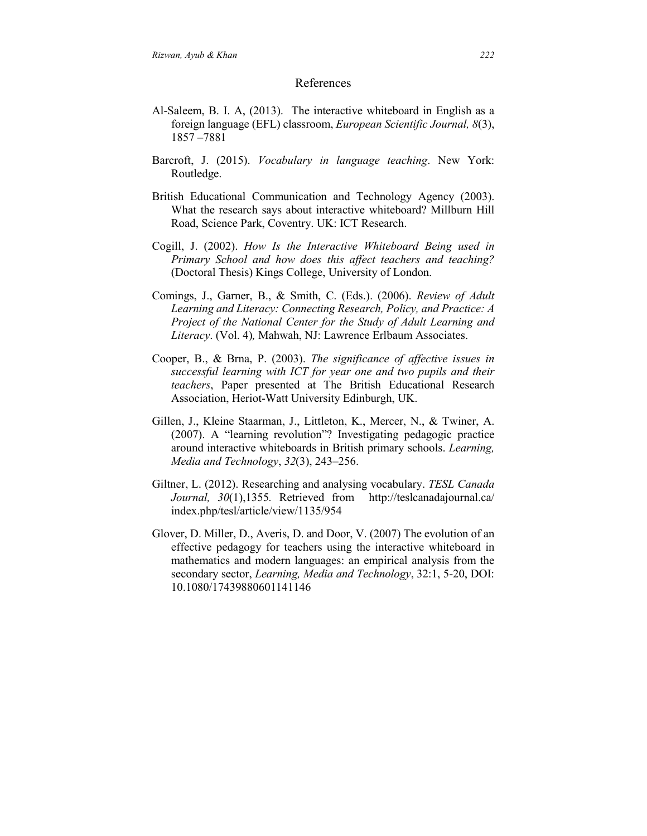#### References

- Al-Saleem, B. I. A, (2013). The interactive whiteboard in English as a foreign language (EFL) classroom, *European Scientific Journal, 8*(3), 1857 –7881
- Barcroft, J. (2015). *Vocabulary in language teaching*. New York: Routledge.
- British Educational Communication and Technology Agency (2003). What the research says about interactive whiteboard? Millburn Hill Road, Science Park, Coventry. UK: ICT Research.
- Cogill, J. (2002). *How Is the Interactive Whiteboard Being used in Primary School and how does this affect teachers and teaching?* (Doctoral Thesis) Kings College, University of London.
- Comings, J., Garner, B., & Smith, C. (Eds.). (2006). *Review of Adult Learning and Literacy: Connecting Research, Policy, and Practice: A Project of the National Center for the Study of Adult Learning and Literacy*. (Vol. 4)*,* Mahwah, NJ: Lawrence Erlbaum Associates.
- Cooper, B., & Brna, P. (2003). *The significance of affective issues in successful learning with ICT for year one and two pupils and their teachers*, Paper presented at The British Educational Research Association, Heriot-Watt University Edinburgh, UK.
- Gillen, J., Kleine Staarman, J., Littleton, K., Mercer, N., & Twiner, A. (2007). A "learning revolution"? Investigating pedagogic practice around interactive whiteboards in British primary schools. *Learning, Media and Technology*, *32*(3), 243–256.
- Giltner, L. (2012). Researching and analysing vocabulary. *TESL Canada Journal, 30*(1),1355*.* Retrieved from http://teslcanadajournal.ca/ index.php/tesl/article/view/1135/954
- Glover, D. Miller, D., Averis, D. and Door, V. (2007) The evolution of an effective pedagogy for teachers using the interactive whiteboard in mathematics and modern languages: an empirical analysis from the secondary sector, *Learning, Media and Technology*, 32:1, 5-20, DOI: 10.1080/17439880601141146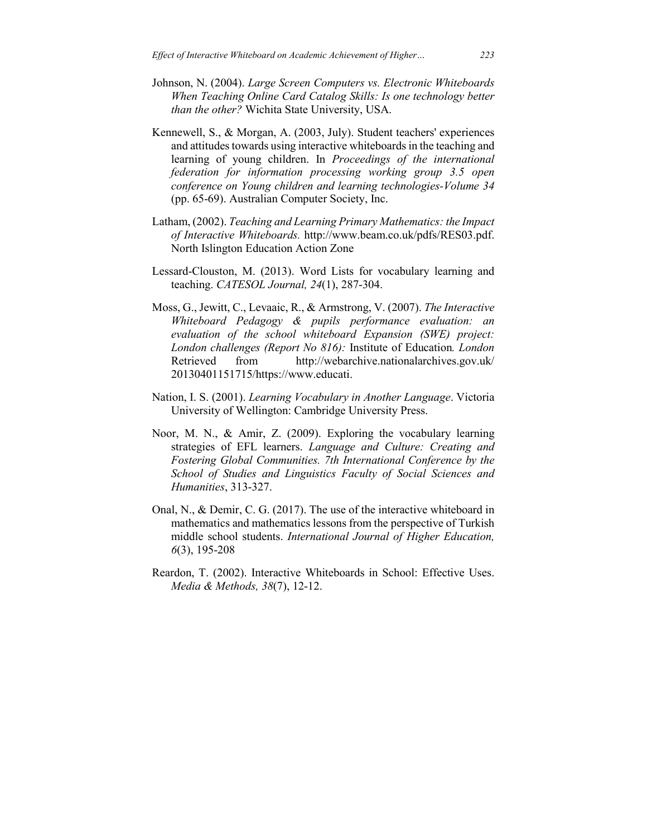- Johnson, N. (2004). *Large Screen Computers vs. Electronic Whiteboards When Teaching Online Card Catalog Skills: Is one technology better than the other?* Wichita State University, USA.
- Kennewell, S., & Morgan, A. (2003, July). Student teachers' experiences and attitudes towards using interactive whiteboards in the teaching and learning of young children. In *Proceedings of the international federation for information processing working group 3.5 open conference on Young children and learning technologies-Volume 34* (pp. 65-69). Australian Computer Society, Inc.
- Latham, (2002). *Teaching and Learning Primary Mathematics: the Impact of Interactive Whiteboards.* http://www.beam.co.uk/pdfs/RES03.pdf. North Islington Education Action Zone
- Lessard-Clouston, M. (2013). Word Lists for vocabulary learning and teaching. *CATESOL Journal, 24*(1), 287-304.
- Moss, G., Jewitt, C., Levaaic, R., & Armstrong, V. (2007). *The Interactive Whiteboard Pedagogy & pupils performance evaluation: an evaluation of the school whiteboard Expansion (SWE) project: London challenges (Report No 816):* Institute of Education*. London* Retrieved from http://webarchive.nationalarchives.gov.uk/ 20130401151715/https://www.educati.
- Nation, I. S. (2001). *Learning Vocabulary in Another Language*. Victoria University of Wellington: Cambridge University Press.
- Noor, M. N., & Amir, Z. (2009). Exploring the vocabulary learning strategies of EFL learners. *Language and Culture: Creating and Fostering Global Communities. 7th International Conference by the School of Studies and Linguistics Faculty of Social Sciences and Humanities*, 313-327.
- Onal, N., & Demir, C. G. (2017). The use of the interactive whiteboard in mathematics and mathematics lessons from the perspective of Turkish middle school students. *International Journal of Higher Education, 6*(3), 195-208
- Reardon, T. (2002). Interactive Whiteboards in School: Effective Uses. *Media & Methods, 38*(7), 12-12.